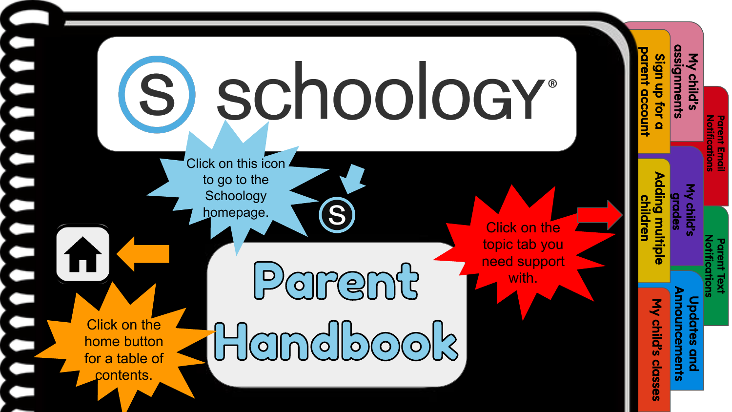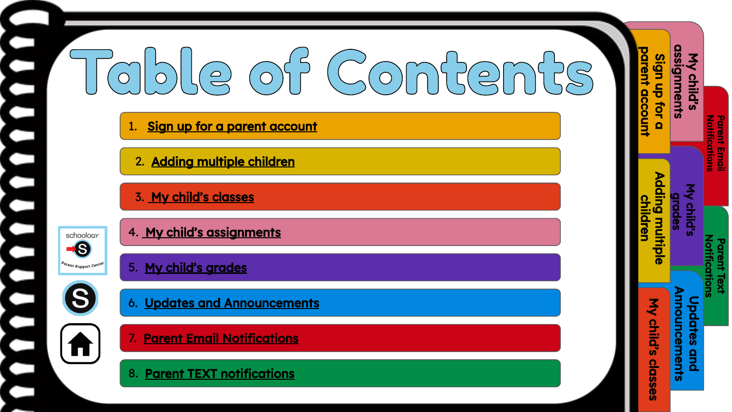#### $\overline{\underline{\rho}}$  $\supseteq$

#### Sign up for a parent account

 [2. Adding multiple children](#page-3-0) 

 [3. My child's classes](#page-4-0)



S

П

.

 $\blacksquare$ 

 $\overline{\phantom{0}}$ 

[4. My child's assignments](#page-5-0)

#### [5. My child's grades](#page-6-0)

[6. Updates and Announcements](#page-7-0)

[7. Parent Email Notifications](#page-8-0)

[8. Parent TEXT notifications](#page-9-0) 

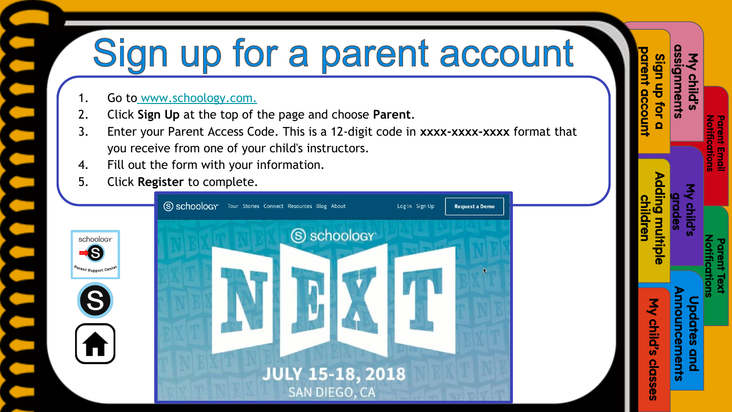# <span id="page-2-0"></span>Sign up for a parent account

Sign up for a parent account

ign up for

My child's [assignments](#page-5-0)

mments

**Notifications** [Parent Email](#page-8-0) 

**Voltrications** 

[Notifications](#page-9-0) Parent Text

[My child's grades](#page-6-0)

[Adding multiple](#page-3-0)  children

ling multip

[My child's classes](#page-4-0)

classes

My child's

[Updates and](#page-7-0)  Announcements

ouncements **a** 

- 1. Go to [www.schoology.com.](https://www.google.com/url?q=https://www.schoology.com/&sa=D&ust=1596725360896000&usg=AFQjCNGoyqjQxjB90l2Rjgq36CaGRGf1sQ)
- 2. Click **Sign Up** at the top of the page and choose **Parent**.
- 3. Enter your Parent Access Code. This is a 12-digit code in **xxxx-xxxx-xxxx** format that you receive from one of your child's instructors.
- 4. Fill out the form with your information.
- 5. Click **Register** to complete.

**S** 

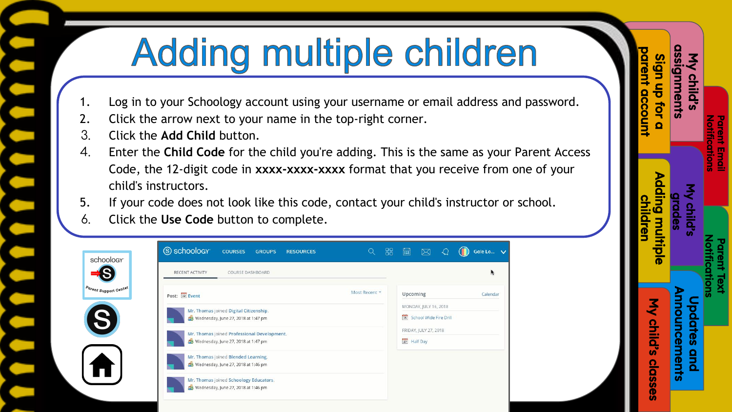# **Adding multiple children**

- <span id="page-3-0"></span>1. Log in to your Schoology account using your username or email address and password.
- 2. Click the arrow next to your name in the top-right corner.
- 3. Click the **Add Child** button.

sch

- 4. Enter the **Child Code** for the child you're adding. This is the same as your Parent Access Code, the 12-digit code in **xxxx-xxxx-xxxx** format that you receive from one of your child's instructors.
- 5. If your code does not look like this code, contact your child's instructor or school.
- 6. Click the **Use Code** button to complete.

| Most Recent *<br>Upcoming<br>Calendar<br>Post: 12 Event<br>MONDAY, JULY 16, 2018<br>Mr. Thomas joined Digital Citizenship.<br>16 School Wide Fire Drill<br>Wednesday, June 27, 2018 at 1:47 pm<br>FRIDAY, JULY 27, 2018<br>Mr. Thomas joined Professional Development.<br>27 Half Day<br>Wednesday, June 27, 2018 at 1:47 pm<br>Mr. Thomas joined Blended Learning. | RECENT ACTIVITY<br>COURSE DASHBOARD                                           |  |  |  |
|---------------------------------------------------------------------------------------------------------------------------------------------------------------------------------------------------------------------------------------------------------------------------------------------------------------------------------------------------------------------|-------------------------------------------------------------------------------|--|--|--|
|                                                                                                                                                                                                                                                                                                                                                                     |                                                                               |  |  |  |
|                                                                                                                                                                                                                                                                                                                                                                     |                                                                               |  |  |  |
|                                                                                                                                                                                                                                                                                                                                                                     |                                                                               |  |  |  |
|                                                                                                                                                                                                                                                                                                                                                                     |                                                                               |  |  |  |
|                                                                                                                                                                                                                                                                                                                                                                     | Wednesday, June 27, 2018 at 1:46 pm                                           |  |  |  |
|                                                                                                                                                                                                                                                                                                                                                                     | Mr. Thomas joined Schoology Educators.<br>Wednesday, June 27, 2018 at 1:46 pm |  |  |  |

| assignments<br>My child's      | <b>Parent Email</b><br><b>Notification:</b><br>My child's<br>drades | <b>Notification:</b><br><b>Parent Text</b> | <b>Announcements</b><br><b>Updates and</b> |
|--------------------------------|---------------------------------------------------------------------|--------------------------------------------|--------------------------------------------|
|                                |                                                                     |                                            |                                            |
| parent accoun<br>Sign up for a |                                                                     | Adding multiple<br><b>children</b>         | My child's classes                         |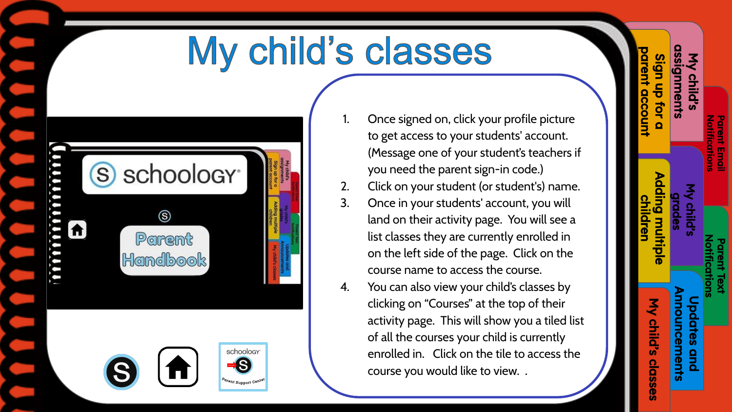### My child's classes

<span id="page-4-0"></span>

| mmmmm<br>A | schoology <sup>®</sup><br>S)<br>ලි<br>Parent<br>Handbook                           | assignments<br>arent accoun<br>Sign up for a<br>My child's<br><b>Adding multiple</b><br>children<br><b>My child's closses</b> |
|------------|------------------------------------------------------------------------------------|-------------------------------------------------------------------------------------------------------------------------------|
|            | schoology <sup>-</sup><br>$\left  \bigwedge \right $<br>S<br>Parent Support Center |                                                                                                                               |

Once signed on, click your profile picture to get access to your students' account. (Message one of your student's teachers if you need the parent sign-in code.)

[Sign up for a](#page-2-0)  parent account

 $\frac{c}{\sigma}$ tor

My child's [assignments](#page-5-0)

ments

**Notifications** [Parent Email](#page-6-0) 

**Notifications** Parent Emai

[Notifications](#page-9-0) Parent Text

[Adding multiple](#page-3-0)  children

ling multip

[My child's grades](#)

My child's classes

classes

My child's

[Updates and](#page-7-0)  Announcements

ouncements **a** 

- 2. Click on your student (or student's) name.
- 3. Once in your students' account, you will land on their activity page. You will see a list classes they are currently enrolled in on the left side of the page. Click on the course name to access the course.
- 4. You can also view your child's classes by clicking on "Courses" at the top of their activity page. This will show you a tiled list of all the courses your child is currently enrolled in. Click on the tile to access the course you would like to view. .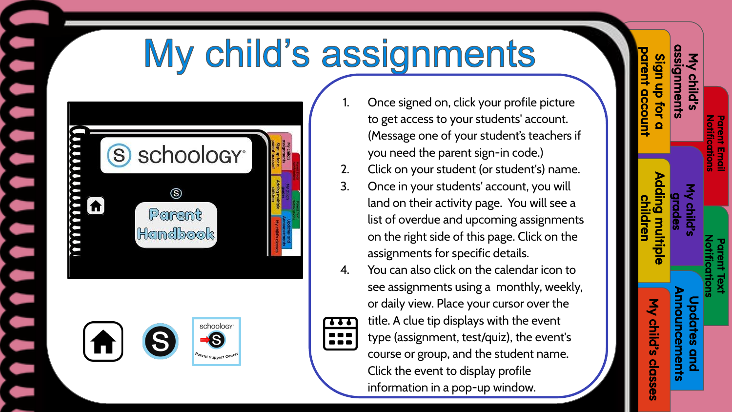# My child's assignments

<span id="page-5-0"></span>





Once signed on, click your profile picture to get access to your students' account. (Message one of your student's teachers if you need the parent sign-in code.)

[Sign up for a](#page-2-0)  parent account

gn up

My child's assignments

nments

**Notifications** [Parent Email](#page-8-0) 

 $\frac{8}{1}$ 

[Notifications](#page-9-0)  Parent Text

My child

[Adding multiple](#page-3-0)  children

ung multip

[My child's classes](#page-4-0)

classe

My child's

[Updates and](#page-7-0)  Announcements

ouncements

- 2. Click on your student (or student's) name.
- 3. Once in your students' account, you will land on their activity page. You will see a list of overdue and upcoming assignments on the right side of this page. Click on the assignments for specific details.
- 4. You can also click on the calendar icon to see assignments using a monthly, weekly, or daily view. Place your cursor over the title. A clue tip displays with the event type (assignment, test/quiz), the event's course or group, and the student name. Click the event to display profile information in a pop-up window.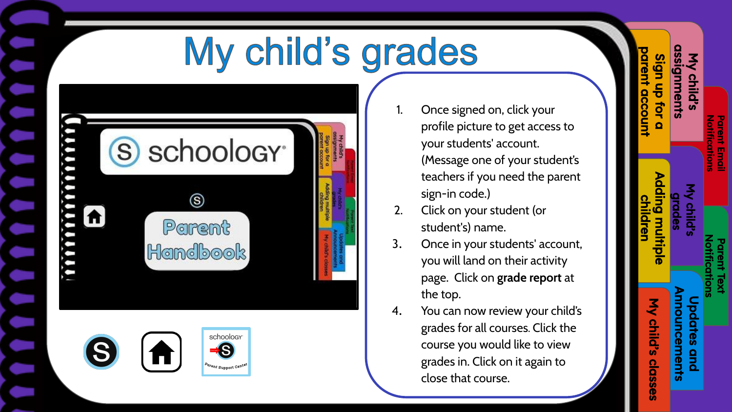# My child's grades

<span id="page-6-0"></span>

| S)    | schoology <sup>®</sup>    | <b>SSIGOTTIBITIS</b><br>My child's<br>arent account<br>agn up for a |
|-------|---------------------------|---------------------------------------------------------------------|
| mmmmm | Parent<br><b>Handbook</b> | Adding multiple<br>in in<br>IV Child's closses                      |



Once signed on, click your profile picture to get access to your students' account. (Message one of your student's teachers if you need the parent sign-in code.)

[Sign up for a](#page-2-0)  parent account

jgn up for gnments

My child's [assignments](#page-5-0)

**Notifications** [Parent Email](#page-8-0) 

**Notifications** Parent Email

[Notifications](#page-9-0) Parent Text

[Adding multiple](#page-3-0)  children

ling multip

My child's grades

[My child's classes](#page-4-0)

classes

My child's

[Updates and](#page-7-0)  Announcements

 $\frac{9}{2}$ 

pdates

nouncements

- 2. Click on your student (or student's) name.
- 3. Once in your students' account, you will land on their activity page. Click on **grade report** at the top.
- 4. You can now review your child's grades for all courses. Click the course you would like to view grades in. Click on it again to close that course.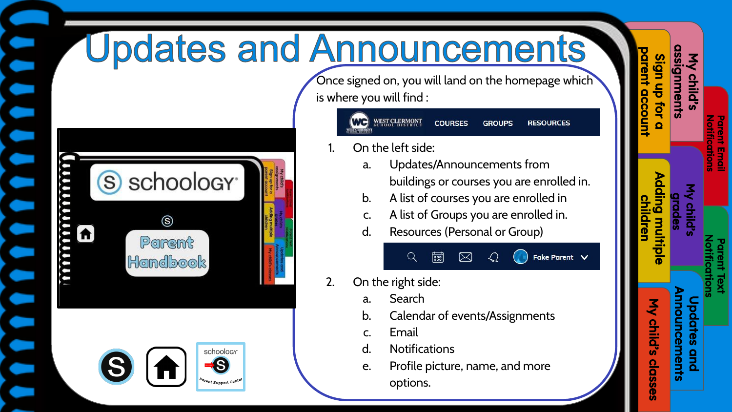# <span id="page-7-0"></span>**Updates and Announcements**



Once signed on, you will land on the homepage which is where you will find :

| WC SCHOOL BISTRICT | <b>COURSES</b> | <b>GROUPS</b> | <b>RESOURCES</b> |
|--------------------|----------------|---------------|------------------|
|--------------------|----------------|---------------|------------------|

- On the left side:
	- a. Updates/Announcements from buildings or courses you are enrolled in.

Fake Parent V

- b. A list of courses you are enrolled in
- c. A list of Groups you are enrolled in.
- d. Resources (Personal or Group)



- a. Search
- b. Calendar of events/Assignments
- c. Email
- d. Notifications
- e. Profile picture, name, and more options.

|                                  | <b>Notifications</b><br><b>Parent Email</b> | <b>Notifications</b><br><b>Parent Text</b> |                                            |
|----------------------------------|---------------------------------------------|--------------------------------------------|--------------------------------------------|
| <b>assignments</b><br>My child's |                                             | My child's<br>drades                       | <b>Announcements</b><br><b>Updates and</b> |
| parent account<br>Sign up for a  |                                             | Adding multiple<br>children                | My child's classes                         |
|                                  |                                             |                                            |                                            |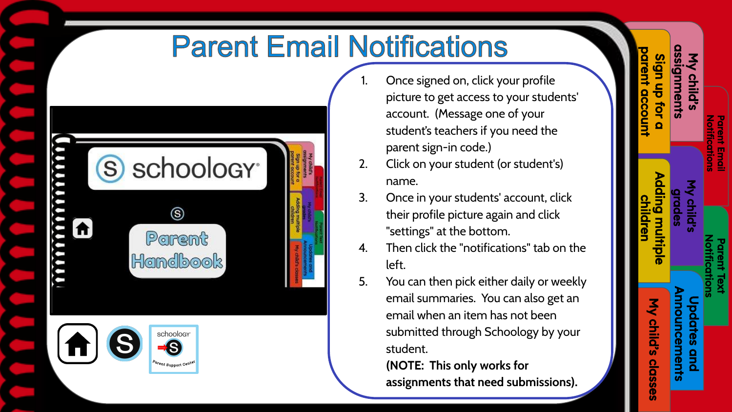### **Parent Email Notifications**

<span id="page-8-0"></span>

Once signed on, click your profile picture to get access to your students' account. (Message one of your student's teachers if you need the parent sign-in code.)

[Sign up for a](#page-2-0)  parent account

tor

an uɓ

My child's [assignments](#page-5-0)

nments

**Notifications** Parent Email

lotifications

[Notifications](#page-9-0) Parent Text

[My child's](#page-6-0) grades

[Adding multiple](#page-3-0)  children

dding multipl

[My child's classes](#page-4-0)

classes

My child's

[Updates and](#page-7-0)  Announcements

**a** 

ouncements

- 2. Click on your student (or student's) name.
- 3. Once in your students' account, click their profile picture again and click "settings" at the bottom.
- 4. Then click the "notifications" tab on the left.
- 5. You can then pick either daily or weekly email summaries. You can also get an email when an item has not been submitted through Schoology by your student.

**(NOTE: This only works for assignments that need submissions).**